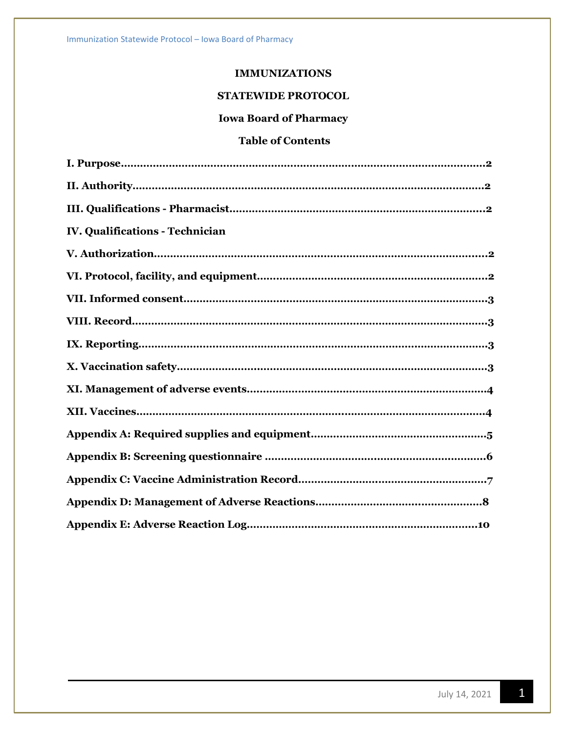# **IMMUNIZATIONS**

# **STATEWIDE PROTOCOL**

# **Iowa Board of Pharmacy**

# **Table of Contents**

| IV. Qualifications - Technician |
|---------------------------------|
|                                 |
|                                 |
|                                 |
|                                 |
|                                 |
|                                 |
|                                 |
|                                 |
|                                 |
|                                 |
|                                 |
|                                 |
|                                 |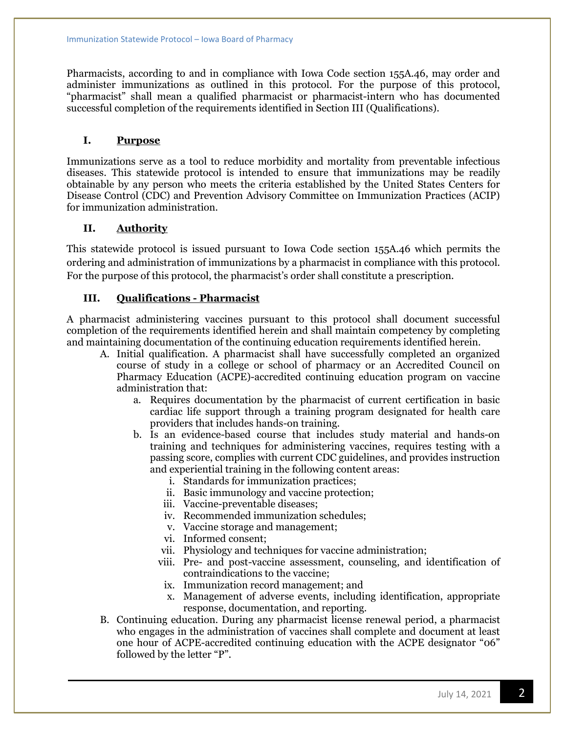Pharmacists, according to and in compliance with Iowa Code section 155A.46, may order and administer immunizations as outlined in this protocol. For the purpose of this protocol, "pharmacist" shall mean a qualified pharmacist or pharmacist-intern who has documented successful completion of the requirements identified in Section III (Qualifications).

## **I. Purpose**

Immunizations serve as a tool to reduce morbidity and mortality from preventable infectious diseases. This statewide protocol is intended to ensure that immunizations may be readily obtainable by any person who meets the criteria established by the United States Centers for Disease Control (CDC) and Prevention Advisory Committee on Immunization Practices (ACIP) for immunization administration.

#### **II. Authority**

This statewide protocol is issued pursuant to Iowa Code section 155A.46 which permits the ordering and administration of immunizations by a pharmacist in compliance with this protocol. For the purpose of this protocol, the pharmacist's order shall constitute a prescription.

#### **III. Qualifications - Pharmacist**

A pharmacist administering vaccines pursuant to this protocol shall document successful completion of the requirements identified herein and shall maintain competency by completing and maintaining documentation of the continuing education requirements identified herein.

- A. Initial qualification. A pharmacist shall have successfully completed an organized course of study in a college or school of pharmacy or an Accredited Council on Pharmacy Education (ACPE)-accredited continuing education program on vaccine administration that:
	- a. Requires documentation by the pharmacist of current certification in basic cardiac life support through a training program designated for health care providers that includes hands-on training.
	- b. Is an evidence-based course that includes study material and hands-on training and techniques for administering vaccines, requires testing with a passing score, complies with current CDC guidelines, and provides instruction and experiential training in the following content areas:
		- i. Standards for immunization practices;
		- ii. Basic immunology and vaccine protection;
		- iii. Vaccine-preventable diseases;
		- iv. Recommended immunization schedules;
		- v. Vaccine storage and management;
		- vi. Informed consent;
		- vii. Physiology and techniques for vaccine administration;
		- viii. Pre- and post-vaccine assessment, counseling, and identification of contraindications to the vaccine;
		- ix. Immunization record management; and
		- x. Management of adverse events, including identification, appropriate response, documentation, and reporting.
- B. Continuing education. During any pharmacist license renewal period, a pharmacist who engages in the administration of vaccines shall complete and document at least one hour of ACPE-accredited continuing education with the ACPE designator "06" followed by the letter "P".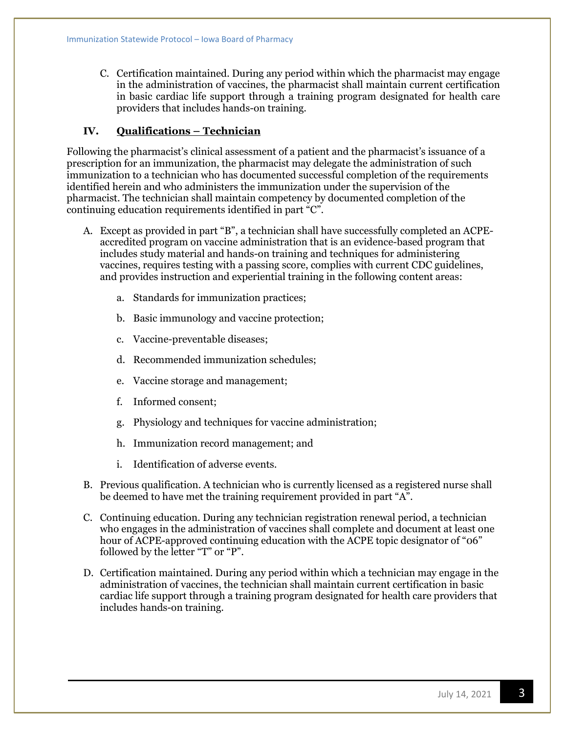C. Certification maintained. During any period within which the pharmacist may engage in the administration of vaccines, the pharmacist shall maintain current certification in basic cardiac life support through a training program designated for health care providers that includes hands-on training.

## **IV. Qualifications – Technician**

Following the pharmacist's clinical assessment of a patient and the pharmacist's issuance of a prescription for an immunization, the pharmacist may delegate the administration of such immunization to a technician who has documented successful completion of the requirements identified herein and who administers the immunization under the supervision of the pharmacist. The technician shall maintain competency by documented completion of the continuing education requirements identified in part "C".

- A. Except as provided in part "B", a technician shall have successfully completed an ACPEaccredited program on vaccine administration that is an evidence-based program that includes study material and hands-on training and techniques for administering vaccines, requires testing with a passing score, complies with current CDC guidelines, and provides instruction and experiential training in the following content areas:
	- a. Standards for immunization practices;
	- b. Basic immunology and vaccine protection;
	- c. Vaccine-preventable diseases;
	- d. Recommended immunization schedules;
	- e. Vaccine storage and management;
	- f. Informed consent;
	- g. Physiology and techniques for vaccine administration;
	- h. Immunization record management; and
	- i. Identification of adverse events.
- B. Previous qualification. A technician who is currently licensed as a registered nurse shall be deemed to have met the training requirement provided in part "A".
- C. Continuing education. During any technician registration renewal period, a technician who engages in the administration of vaccines shall complete and document at least one hour of ACPE-approved continuing education with the ACPE topic designator of "06" followed by the letter "T" or "P".
- D. Certification maintained. During any period within which a technician may engage in the administration of vaccines, the technician shall maintain current certification in basic cardiac life support through a training program designated for health care providers that includes hands-on training.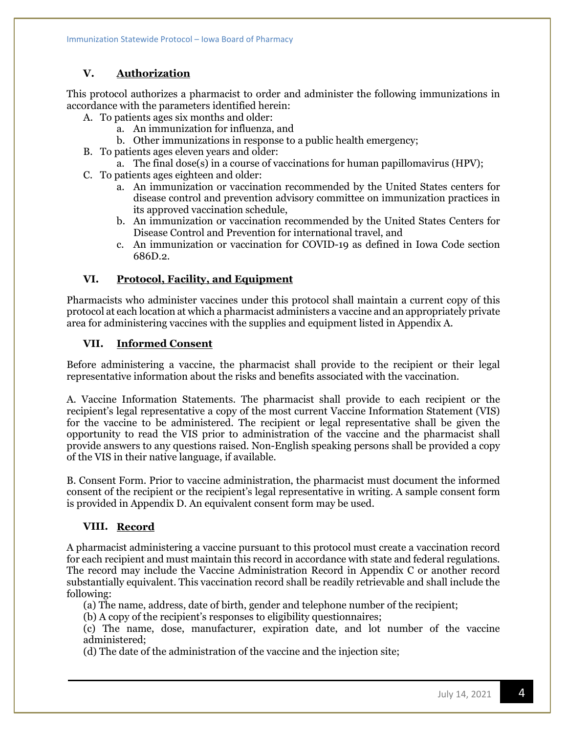# **V. Authorization**

This protocol authorizes a pharmacist to order and administer the following immunizations in accordance with the parameters identified herein:

- A. To patients ages six months and older:
	- a. An immunization for influenza, and
	- b. Other immunizations in response to a public health emergency;
- B. To patients ages eleven years and older:
	- a. The final dose(s) in a course of vaccinations for human papillomavirus (HPV);
- C. To patients ages eighteen and older:
	- a. An immunization or vaccination recommended by the United States centers for disease control and prevention advisory committee on immunization practices in its approved vaccination schedule,
	- b. An immunization or vaccination recommended by the United States Centers for Disease Control and Prevention for international travel, and
	- c. An immunization or vaccination for COVID-19 as defined in Iowa Code section 686D.2.

## **VI. Protocol, Facility, and Equipment**

Pharmacists who administer vaccines under this protocol shall maintain a current copy of this protocol at each location at which a pharmacist administers a vaccine and an appropriately private area for administering vaccines with the supplies and equipment listed in Appendix A.

## **VII. Informed Consent**

Before administering a vaccine, the pharmacist shall provide to the recipient or their legal representative information about the risks and benefits associated with the vaccination.

A. Vaccine Information Statements. The pharmacist shall provide to each recipient or the recipient's legal representative a copy of the most current Vaccine Information Statement (VIS) for the vaccine to be administered. The recipient or legal representative shall be given the opportunity to read the VIS prior to administration of the vaccine and the pharmacist shall provide answers to any questions raised. Non-English speaking persons shall be provided a copy of the VIS in their native language, if available.

B. Consent Form. Prior to vaccine administration, the pharmacist must document the informed consent of the recipient or the recipient's legal representative in writing. A sample consent form is provided in Appendix D. An equivalent consent form may be used.

## **VIII. Record**

A pharmacist administering a vaccine pursuant to this protocol must create a vaccination record for each recipient and must maintain this record in accordance with state and federal regulations. The record may include the Vaccine Administration Record in Appendix C or another record substantially equivalent. This vaccination record shall be readily retrievable and shall include the following:

(a) The name, address, date of birth, gender and telephone number of the recipient;

(b) A copy of the recipient's responses to eligibility questionnaires;

(c) The name, dose, manufacturer, expiration date, and lot number of the vaccine administered;

(d) The date of the administration of the vaccine and the injection site;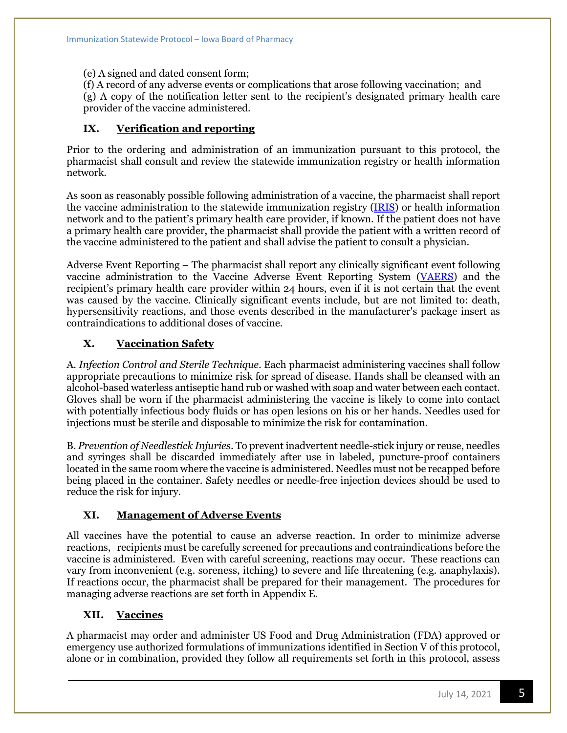(e) A signed and dated consent form;

(f) A record of any adverse events or complications that arose following vaccination; and (g) A copy of the notification letter sent to the recipient's designated primary health care provider of the vaccine administered.

## **IX. Verification and reporting**

Prior to the ordering and administration of an immunization pursuant to this protocol, the pharmacist shall consult and review the statewide immunization registry or health information network.

As soon as reasonably possible following administration of a vaccine, the pharmacist shall report the vaccine administration to the statewide immunization registry [\(IRIS\)](https://iris.iowa.gov/IRISPRDJ/portalInfoManager.do) or health information network and to the patient's primary health care provider, if known. If the patient does not have a primary health care provider, the pharmacist shall provide the patient with a written record of the vaccine administered to the patient and shall advise the patient to consult a physician.

Adverse Event Reporting – The pharmacist shall report any clinically significant event following vaccine administration to the Vaccine Adverse Event Reporting System [\(VAERS\)](https://vaers.hhs.gov/) and the recipient's primary health care provider within 24 hours, even if it is not certain that the event was caused by the vaccine. Clinically significant events include, but are not limited to: death, hypersensitivity reactions, and those events described in the manufacturer's package insert as contraindications to additional doses of vaccine.

# **X. Vaccination Safety**

A. *Infection Control and Sterile Technique*. Each pharmacist administering vaccines shall follow appropriate precautions to minimize risk for spread of disease. Hands shall be cleansed with an alcohol-based waterless antiseptic hand rub or washed with soap and water between each contact. Gloves shall be worn if the pharmacist administering the vaccine is likely to come into contact with potentially infectious body fluids or has open lesions on his or her hands. Needles used for injections must be sterile and disposable to minimize the risk for contamination.

B. *Prevention of Needlestick Injuries*. To prevent inadvertent needle-stick injury or reuse, needles and syringes shall be discarded immediately after use in labeled, puncture-proof containers located in the same room where the vaccine is administered. Needles must not be recapped before being placed in the container. Safety needles or needle-free injection devices should be used to reduce the risk for injury.

## **XI. Management of Adverse Events**

All vaccines have the potential to cause an adverse reaction. In order to minimize adverse reactions, recipients must be carefully screened for precautions and contraindications before the vaccine is administered. Even with careful screening, reactions may occur. These reactions can vary from inconvenient (e.g. soreness, itching) to severe and life threatening (e.g. anaphylaxis). If reactions occur, the pharmacist shall be prepared for their management. The procedures for managing adverse reactions are set forth in Appendix E.

## **XII. Vaccines**

A pharmacist may order and administer US Food and Drug Administration (FDA) approved or emergency use authorized formulations of immunizations identified in Section V of this protocol, alone or in combination, provided they follow all requirements set forth in this protocol, assess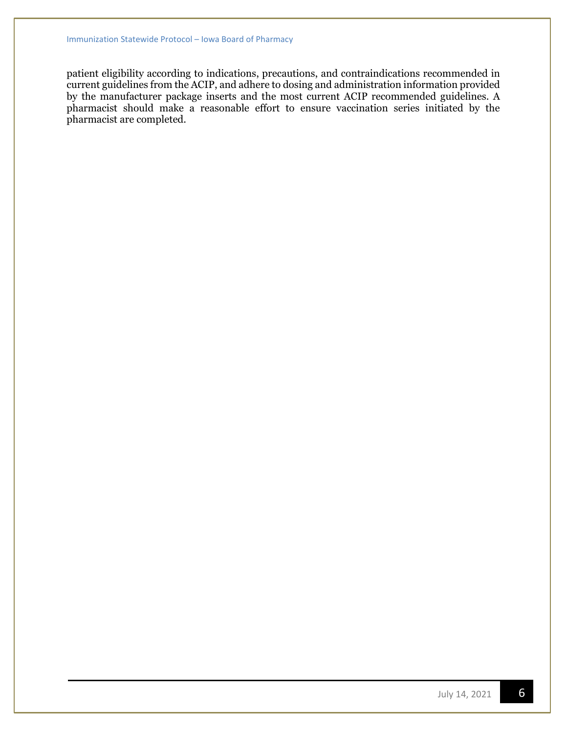patient eligibility according to indications, precautions, and contraindications recommended in current guidelines from the ACIP, and adhere to dosing and administration information provided by the manufacturer package inserts and the most current ACIP recommended guidelines. A pharmacist should make a reasonable effort to ensure vaccination series initiated by the pharmacist are completed.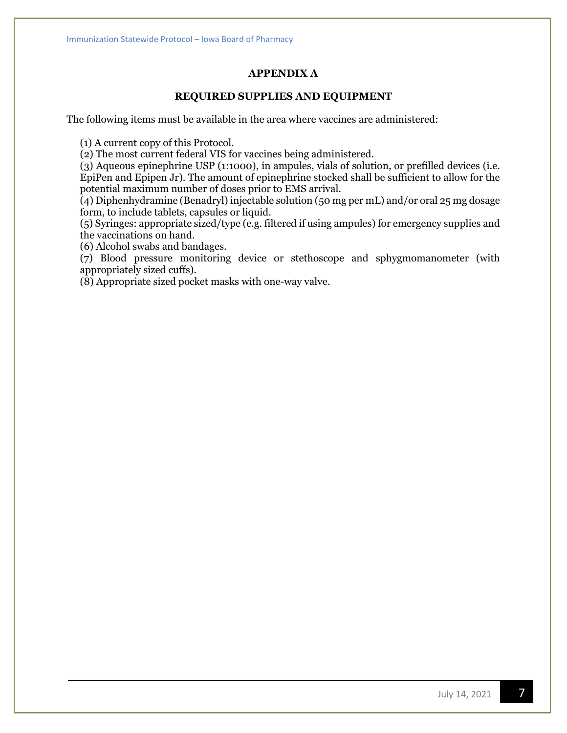## **APPENDIX A**

## **REQUIRED SUPPLIES AND EQUIPMENT**

The following items must be available in the area where vaccines are administered:

(1) A current copy of this Protocol.

(2) The most current federal VIS for vaccines being administered.

(3) Aqueous epinephrine USP (1:1000), in ampules, vials of solution, or prefilled devices (i.e. EpiPen and Epipen Jr). The amount of epinephrine stocked shall be sufficient to allow for the potential maximum number of doses prior to EMS arrival.

(4) Diphenhydramine (Benadryl) injectable solution (50 mg per mL) and/or oral 25 mg dosage form, to include tablets, capsules or liquid.

(5) Syringes: appropriate sized/type (e.g. filtered if using ampules) for emergency supplies and the vaccinations on hand.

(6) Alcohol swabs and bandages.

(7) Blood pressure monitoring device or stethoscope and sphygmomanometer (with appropriately sized cuffs).

(8) Appropriate sized pocket masks with one-way valve.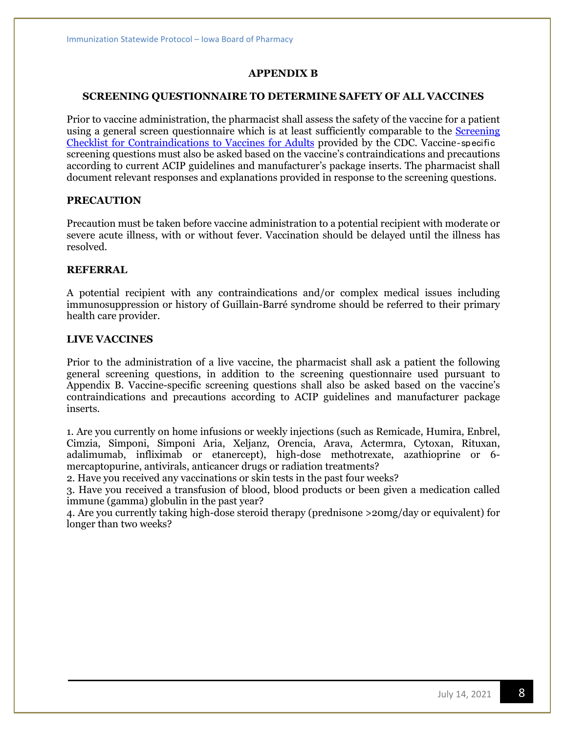#### **APPENDIX B**

#### **SCREENING QUESTIONNAIRE TO DETERMINE SAFETY OF ALL VACCINES**

Prior to vaccine administration, the pharmacist shall assess the safety of the vaccine for a patient using a general screen questionnaire which is at least sufficiently comparable to the [Screening](http://www.immunize.org/catg.d/p4065.pdf) [Checklist for Contraindications to Vaccines for Adults](http://www.immunize.org/catg.d/p4065.pdf) provided by the CDC. Vaccine‐specific screening questions must also be asked based on the vaccine's contraindications and precautions according to current ACIP guidelines and manufacturer's package inserts. The pharmacist shall document relevant responses and explanations provided in response to the screening questions.

#### **PRECAUTION**

Precaution must be taken before vaccine administration to a potential recipient with moderate or severe acute illness, with or without fever. Vaccination should be delayed until the illness has resolved.

#### **REFERRAL**

A potential recipient with any contraindications and/or complex medical issues including immunosuppression or history of Guillain-Barré syndrome should be referred to their primary health care provider.

#### **LIVE VACCINES**

Prior to the administration of a live vaccine, the pharmacist shall ask a patient the following general screening questions, in addition to the screening questionnaire used pursuant to Appendix B. Vaccine-specific screening questions shall also be asked based on the vaccine's contraindications and precautions according to ACIP guidelines and manufacturer package inserts.

1. Are you currently on home infusions or weekly injections (such as Remicade, Humira, Enbrel, Cimzia, Simponi, Simponi Aria, Xeljanz, Orencia, Arava, Actermra, Cytoxan, Rituxan, adalimumab, infliximab or etanercept), high-dose methotrexate, azathioprine or 6 mercaptopurine, antivirals, anticancer drugs or radiation treatments?

2. Have you received any vaccinations or skin tests in the past four weeks?

3. Have you received a transfusion of blood, blood products or been given a medication called immune (gamma) globulin in the past year?

4. Are you currently taking high-dose steroid therapy (prednisone >20mg/day or equivalent) for longer than two weeks?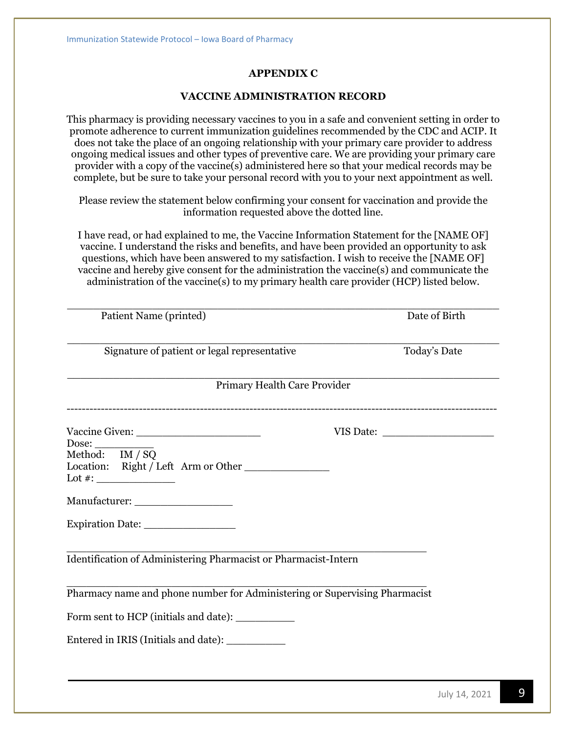# **APPENDIX C**

#### **VACCINE ADMINISTRATION RECORD**

This pharmacy is providing necessary vaccines to you in a safe and convenient setting in order to promote adherence to current immunization guidelines recommended by the CDC and ACIP. It does not take the place of an ongoing relationship with your primary care provider to address ongoing medical issues and other types of preventive care. We are providing your primary care provider with a copy of the vaccine(s) administered here so that your medical records may be complete, but be sure to take your personal record with you to your next appointment as well.

Please review the statement below confirming your consent for vaccination and provide the information requested above the dotted line.

I have read, or had explained to me, the Vaccine Information Statement for the [NAME OF] vaccine. I understand the risks and benefits, and have been provided an opportunity to ask questions, which have been answered to my satisfaction. I wish to receive the [NAME OF] vaccine and hereby give consent for the administration the vaccine(s) and communicate the administration of the vaccine(s) to my primary health care provider (HCP) listed below.

| Patient Name (printed)                                                     | Date of Birth |
|----------------------------------------------------------------------------|---------------|
| Signature of patient or legal representative                               | Today's Date  |
| Primary Health Care Provider                                               |               |
|                                                                            |               |
| Dose:<br>Method: IM / SQ<br>Location: Right / Left Arm or Other            |               |
|                                                                            |               |
| Expiration Date:                                                           |               |
| Identification of Administering Pharmacist or Pharmacist-Intern            |               |
| Pharmacy name and phone number for Administering or Supervising Pharmacist |               |
|                                                                            |               |
| Entered in IRIS (Initials and date): ____________                          |               |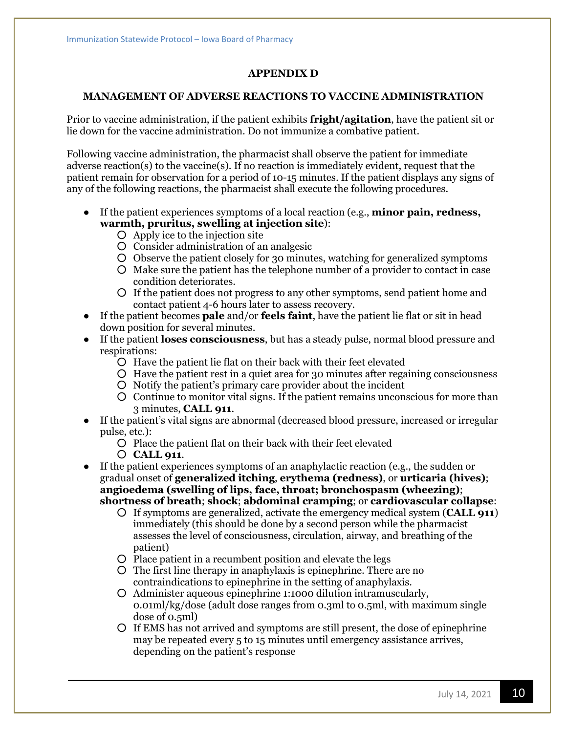#### **APPENDIX D**

#### **MANAGEMENT OF ADVERSE REACTIONS TO VACCINE ADMINISTRATION**

Prior to vaccine administration, if the patient exhibits **fright/agitation**, have the patient sit or lie down for the vaccine administration. Do not immunize a combative patient.

Following vaccine administration, the pharmacist shall observe the patient for immediate adverse reaction(s) to the vaccine(s). If no reaction is immediately evident, request that the patient remain for observation for a period of 10-15 minutes. If the patient displays any signs of any of the following reactions, the pharmacist shall execute the following procedures.

- If the patient experiences symptoms of a local reaction (e.g., **minor pain, redness, warmth, pruritus, swelling at injection site**):
	- Apply ice to the injection site
	- Consider administration of an analgesic
	- Observe the patient closely for 30 minutes, watching for generalized symptoms
	- Make sure the patient has the telephone number of a provider to contact in case condition deteriorates.
	- If the patient does not progress to any other symptoms, send patient home and contact patient 4-6 hours later to assess recovery.
- If the patient becomes **pale** and/or **feels faint**, have the patient lie flat or sit in head down position for several minutes.
- If the patient **loses consciousness**, but has a steady pulse, normal blood pressure and respirations:
	- Have the patient lie flat on their back with their feet elevated
	- Have the patient rest in a quiet area for 30 minutes after regaining consciousness
	- Notify the patient's primary care provider about the incident
	- Continue to monitor vital signs. If the patient remains unconscious for more than 3 minutes, **CALL 911**.
- If the patient's vital signs are abnormal (decreased blood pressure, increased or irregular pulse, etc.):
	- Place the patient flat on their back with their feet elevated
	- **CALL 911**.

● If the patient experiences symptoms of an anaphylactic reaction (e.g., the sudden or gradual onset of **generalized itching**, **erythema (redness)**, or **urticaria (hives)**; **angioedema (swelling of lips, face, throat; bronchospasm (wheezing)**; **shortness of breath**; **shock**; **abdominal cramping**; or **cardiovascular collapse**:

- If symptoms are generalized, activate the emergency medical system (**CALL 911**) immediately (this should be done by a second person while the pharmacist assesses the level of consciousness, circulation, airway, and breathing of the patient)
- Place patient in a recumbent position and elevate the legs
- The first line therapy in anaphylaxis is epinephrine. There are no contraindications to epinephrine in the setting of anaphylaxis.
- Administer aqueous epinephrine 1:1000 dilution intramuscularly, 0.01ml/kg/dose (adult dose ranges from 0.3ml to 0.5ml, with maximum single dose of 0.5ml)
- If EMS has not arrived and symptoms are still present, the dose of epinephrine may be repeated every 5 to 15 minutes until emergency assistance arrives, depending on the patient's response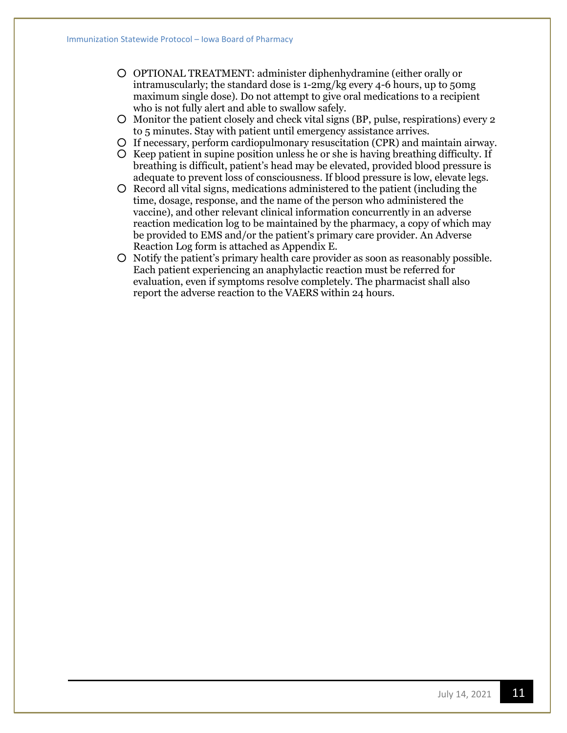- OPTIONAL TREATMENT: administer diphenhydramine (either orally or intramuscularly; the standard dose is 1-2mg/kg every 4-6 hours, up to 50mg maximum single dose). Do not attempt to give oral medications to a recipient who is not fully alert and able to swallow safely.
- Monitor the patient closely and check vital signs (BP, pulse, respirations) every 2 to 5 minutes. Stay with patient until emergency assistance arrives.
- If necessary, perform cardiopulmonary resuscitation (CPR) and maintain airway.
- Keep patient in supine position unless he or she is having breathing difficulty. If breathing is difficult, patient's head may be elevated, provided blood pressure is adequate to prevent loss of consciousness. If blood pressure is low, elevate legs.
- Record all vital signs, medications administered to the patient (including the time, dosage, response, and the name of the person who administered the vaccine), and other relevant clinical information concurrently in an adverse reaction medication log to be maintained by the pharmacy, a copy of which may be provided to EMS and/or the patient's primary care provider. An Adverse Reaction Log form is attached as Appendix E.
- Notify the patient's primary health care provider as soon as reasonably possible. Each patient experiencing an anaphylactic reaction must be referred for evaluation, even if symptoms resolve completely. The pharmacist shall also report the adverse reaction to the VAERS within 24 hours.